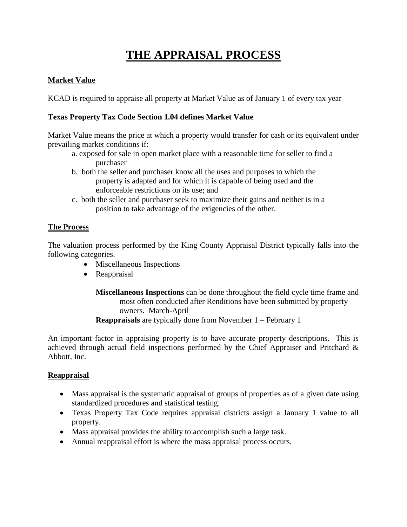# **THE APPRAISAL PROCESS**

## **Market Value**

KCAD is required to appraise all property at Market Value as of January 1 of every tax year

#### **Texas Property Tax Code Section 1.04 defines Market Value**

Market Value means the price at which a property would transfer for cash or its equivalent under prevailing market conditions if:

- a. exposed for sale in open market place with a reasonable time for seller to find a purchaser
- b. both the seller and purchaser know all the uses and purposes to which the property is adapted and for which it is capable of being used and the enforceable restrictions on its use; and
- c. both the seller and purchaser seek to maximize their gains and neither is in a position to take advantage of the exigencies of the other.

## **The Process**

The valuation process performed by the King County Appraisal District typically falls into the following categories.

- Miscellaneous Inspections
- Reappraisal
	- **Miscellaneous Inspections** can be done throughout the field cycle time frame and most often conducted after Renditions have been submitted by property owners. March-April **Reappraisals** are typically done from November 1 – February 1

An important factor in appraising property is to have accurate property descriptions. This is achieved through actual field inspections performed by the Chief Appraiser and Pritchard & Abbott, Inc.

#### **Reappraisal**

- Mass appraisal is the systematic appraisal of groups of properties as of a given date using standardized procedures and statistical testing.
- Texas Property Tax Code requires appraisal districts assign a January 1 value to all property.
- Mass appraisal provides the ability to accomplish such a large task.
- Annual reappraisal effort is where the mass appraisal process occurs.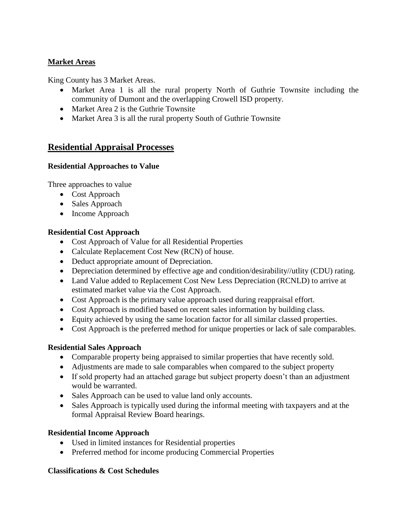#### **Market Areas**

King County has 3 Market Areas.

- Market Area 1 is all the rural property North of Guthrie Townsite including the community of Dumont and the overlapping Crowell ISD property.
- Market Area 2 is the Guthrie Townsite
- Market Area 3 is all the rural property South of Guthrie Townsite

# **Residential Appraisal Processes**

## **Residential Approaches to Value**

Three approaches to value

- Cost Approach
- Sales Approach
- Income Approach

#### **Residential Cost Approach**

- Cost Approach of Value for all Residential Properties
- Calculate Replacement Cost New (RCN) of house.
- Deduct appropriate amount of Depreciation.
- Depreciation determined by effective age and condition/desirability//utlity (CDU) rating.
- Land Value added to Replacement Cost New Less Depreciation (RCNLD) to arrive at estimated market value via the Cost Approach.
- Cost Approach is the primary value approach used during reappraisal effort.
- Cost Approach is modified based on recent sales information by building class.
- Equity achieved by using the same location factor for all similar classed properties.
- Cost Approach is the preferred method for unique properties or lack of sale comparables.

# **Residential Sales Approach**

- Comparable property being appraised to similar properties that have recently sold.
- Adjustments are made to sale comparables when compared to the subject property
- If sold property had an attached garage but subject property doesn't than an adjustment would be warranted.
- Sales Approach can be used to value land only accounts.
- Sales Approach is typically used during the informal meeting with taxpayers and at the formal Appraisal Review Board hearings.

# **Residential Income Approach**

- Used in limited instances for Residential properties
- Preferred method for income producing Commercial Properties

#### **Classifications & Cost Schedules**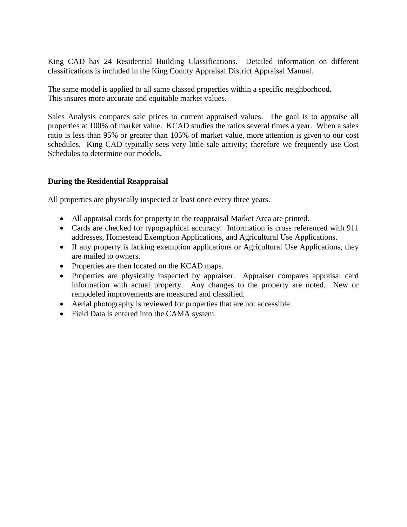King CAD has 24 Residential Building Classifications. Detailed information on different classifications is included in the King County Appraisal District Appraisal Manual.

The same model is applied to all same classed properties within a specific neighborhood. This insures more accurate and equitable market values.

Sales Analysis compares sale prices to current appraised values. The goal is to appraise all properties at 100% of market value. KCAD studies the ratios several times a year. When a sales ratio is less than 95% or greater than 105% of market value, more attention is given to our cost schedules. King CAD typically sees very little sale activity; therefore we frequently use Cost Schedules to determine our models.

## **During the Residential Reappraisal**

All properties are physically inspected at least once every three years.

- All appraisal cards for property in the reappraisal Market Area are printed.
- Cards are checked for typographical accuracy. Information is cross referenced with 911 addresses, Homestead Exemption Applications, and Agricultural Use Applications.
- If any property is lacking exemption applications or Agricultural Use Applications, they are mailed to owners.
- Properties are then located on the KCAD maps.
- Properties are physically inspected by appraiser. Appraiser compares appraisal card information with actual property. Any changes to the property are noted. New or remodeled improvements are measured and classified.
- Aerial photography is reviewed for properties that are not accessible.
- Field Data is entered into the CAMA system.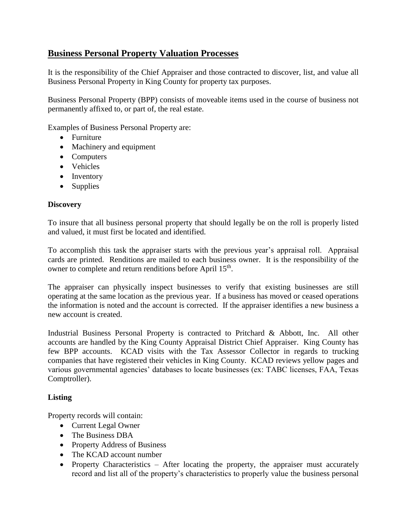# **Business Personal Property Valuation Processes**

It is the responsibility of the Chief Appraiser and those contracted to discover, list, and value all Business Personal Property in King County for property tax purposes.

Business Personal Property (BPP) consists of moveable items used in the course of business not permanently affixed to, or part of, the real estate.

Examples of Business Personal Property are:

- Furniture
- Machinery and equipment
- Computers
- Vehicles
- Inventory
- Supplies

#### **Discovery**

To insure that all business personal property that should legally be on the roll is properly listed and valued, it must first be located and identified.

To accomplish this task the appraiser starts with the previous year's appraisal roll. Appraisal cards are printed. Renditions are mailed to each business owner. It is the responsibility of the owner to complete and return renditions before April 15<sup>th</sup>.

The appraiser can physically inspect businesses to verify that existing businesses are still operating at the same location as the previous year. If a business has moved or ceased operations the information is noted and the account is corrected. If the appraiser identifies a new business a new account is created.

Industrial Business Personal Property is contracted to Pritchard & Abbott, Inc. All other accounts are handled by the King County Appraisal District Chief Appraiser. King County has few BPP accounts. KCAD visits with the Tax Assessor Collector in regards to trucking companies that have registered their vehicles in King County. KCAD reviews yellow pages and various governmental agencies' databases to locate businesses (ex: TABC licenses, FAA, Texas Comptroller).

#### **Listing**

Property records will contain:

- Current Legal Owner
- The Business DBA
- Property Address of Business
- The KCAD account number
- Property Characteristics After locating the property, the appraiser must accurately record and list all of the property's characteristics to properly value the business personal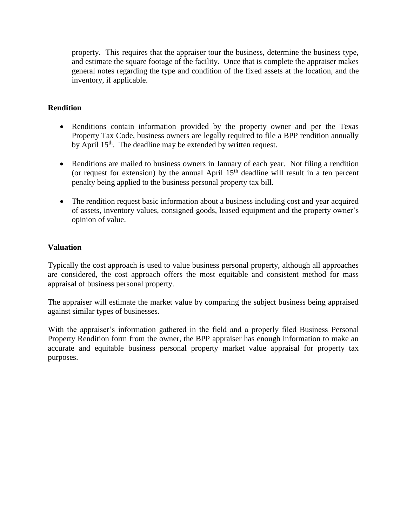property. This requires that the appraiser tour the business, determine the business type, and estimate the square footage of the facility. Once that is complete the appraiser makes general notes regarding the type and condition of the fixed assets at the location, and the inventory, if applicable.

#### **Rendition**

- Renditions contain information provided by the property owner and per the Texas Property Tax Code, business owners are legally required to file a BPP rendition annually by April 15<sup>th</sup>. The deadline may be extended by written request.
- Renditions are mailed to business owners in January of each year. Not filing a rendition (or request for extension) by the annual April  $15<sup>th</sup>$  deadline will result in a ten percent penalty being applied to the business personal property tax bill.
- The rendition request basic information about a business including cost and year acquired of assets, inventory values, consigned goods, leased equipment and the property owner's opinion of value.

#### **Valuation**

Typically the cost approach is used to value business personal property, although all approaches are considered, the cost approach offers the most equitable and consistent method for mass appraisal of business personal property.

The appraiser will estimate the market value by comparing the subject business being appraised against similar types of businesses.

With the appraiser's information gathered in the field and a properly filed Business Personal Property Rendition form from the owner, the BPP appraiser has enough information to make an accurate and equitable business personal property market value appraisal for property tax purposes.